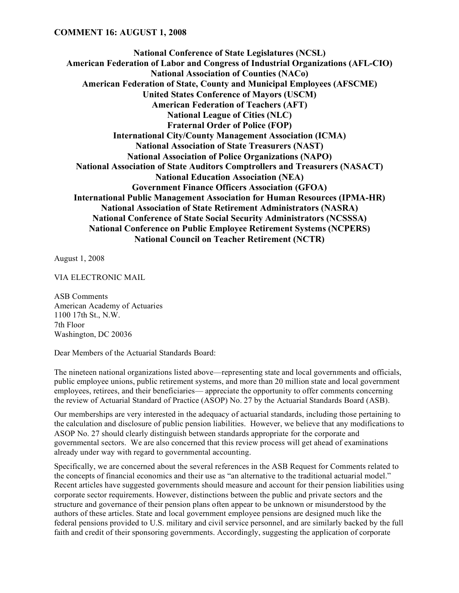**National Conference of State Legislatures (NCSL) American Federation of Labor and Congress of Industrial Organizations (AFL-CIO) National Association of Counties (NACo) American Federation of State, County and Municipal Employees (AFSCME) United States Conference of Mayors (USCM) American Federation of Teachers (AFT) National League of Cities (NLC) Fraternal Order of Police (FOP) International City/County Management Association (ICMA) National Association of State Treasurers (NAST) National Association of Police Organizations (NAPO) National Association of State Auditors Comptrollers and Treasurers (NASACT) National Education Association (NEA) Government Finance Officers Association (GFOA) International Public Management Association for Human Resources (IPMA-HR) National Association of State Retirement Administrators (NASRA) National Conference of State Social Security Administrators (NCSSSA) National Conference on Public Employee Retirement Systems (NCPERS) National Council on Teacher Retirement (NCTR)**

August 1, 2008

VIA ELECTRONIC MAIL

ASB Comments American Academy of Actuaries 1100 17th St., N.W. 7th Floor Washington, DC 20036

Dear Members of the Actuarial Standards Board:

The nineteen national organizations listed above—representing state and local governments and officials, public employee unions, public retirement systems, and more than 20 million state and local government employees, retirees, and their beneficiaries— appreciate the opportunity to offer comments concerning the review of Actuarial Standard of Practice (ASOP) No. 27 by the Actuarial Standards Board (ASB).

Our memberships are very interested in the adequacy of actuarial standards, including those pertaining to the calculation and disclosure of public pension liabilities. However, we believe that any modifications to ASOP No. 27 should clearly distinguish between standards appropriate for the corporate and governmental sectors. We are also concerned that this review process will get ahead of examinations already under way with regard to governmental accounting.

Specifically, we are concerned about the several references in the ASB Request for Comments related to the concepts of financial economics and their use as "an alternative to the traditional actuarial model." Recent articles have suggested governments should measure and account for their pension liabilities using corporate sector requirements. However, distinctions between the public and private sectors and the structure and governance of their pension plans often appear to be unknown or misunderstood by the authors of these articles. State and local government employee pensions are designed much like the federal pensions provided to U.S. military and civil service personnel, and are similarly backed by the full faith and credit of their sponsoring governments. Accordingly, suggesting the application of corporate